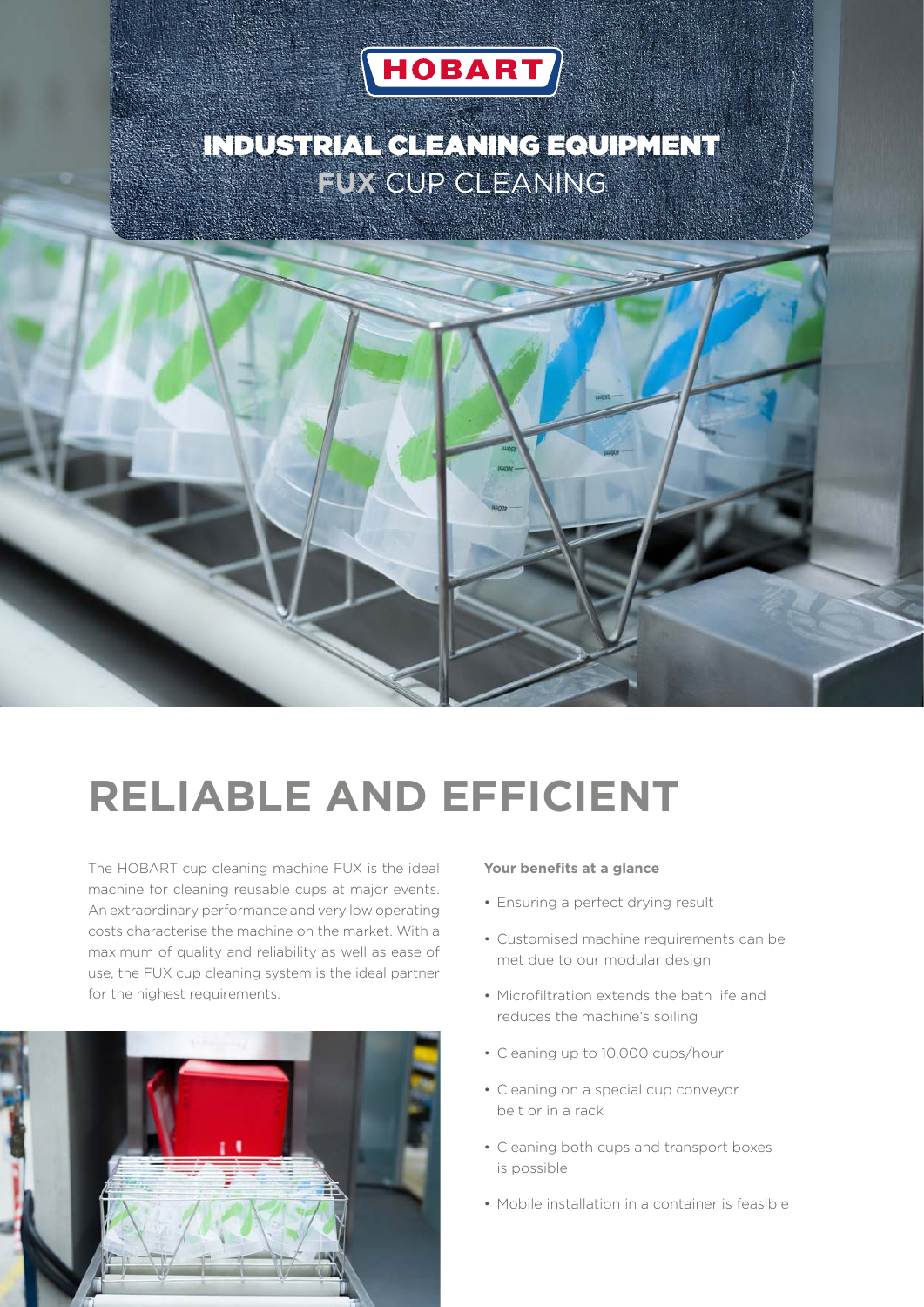

## INDUSTRIAL CLEANING EQUIPMENT **FUX** CUP CLEANING



# **RELIABLE AND EFFICIENT**

The HOBART cup cleaning machine FUX is the ideal machine for cleaning reusable cups at major events. An extraordinary performance and very low operating costs characterise the machine on the market. With a maximum of quality and reliability as well as ease of use, the FUX cup cleaning system is the ideal partner for the highest requirements.



#### **Your benefits at a glance**

- Ensuring a perfect drying result
- Customised machine requirements can be met due to our modular design
- Microfiltration extends the bath life and reduces the machine's soiling
- Cleaning up to 10,000 cups/hour
- Cleaning on a special cup conveyor belt or in a rack
- Cleaning both cups and transport boxes is possible
- Mobile installation in a container is feasible